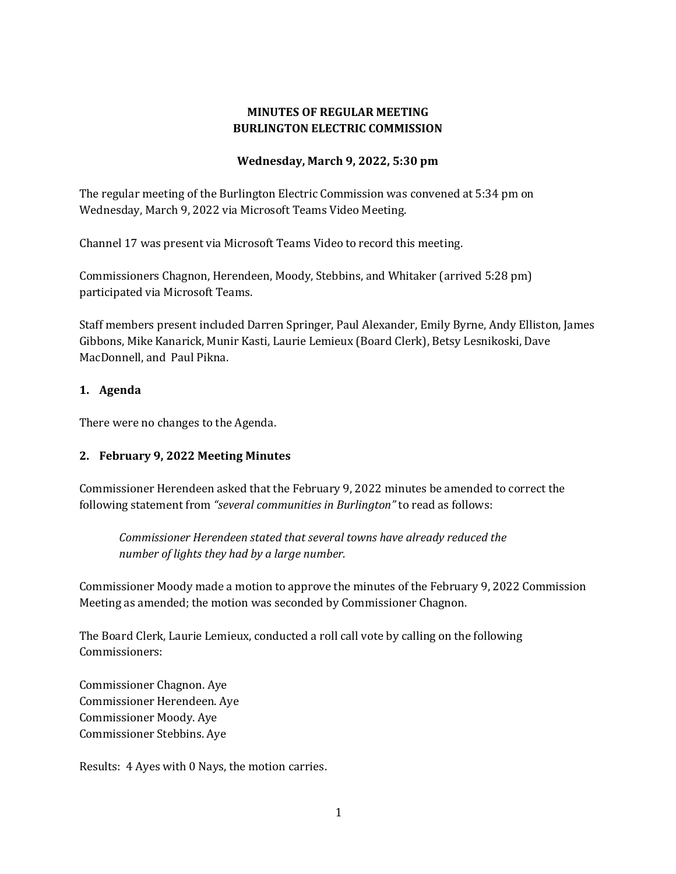# **MINUTES OF REGULAR MEETING BURLINGTON ELECTRIC COMMISSION**

#### **Wednesday, March 9, 2022, 5:30 pm**

The regular meeting of the Burlington Electric Commission was convened at 5:34 pm on Wednesday, March 9, 2022 via Microsoft Teams Video Meeting.

Channel 17 was present via Microsoft Teams Video to record this meeting.

Commissioners Chagnon, Herendeen, Moody, Stebbins, and Whitaker (arrived 5:28 pm) participated via Microsoft Teams.

Staff members present included Darren Springer, Paul Alexander, Emily Byrne, Andy Elliston, James Gibbons, Mike Kanarick, Munir Kasti, Laurie Lemieux (Board Clerk), Betsy Lesnikoski, Dave MacDonnell, and Paul Pikna.

## **1. Agenda**

There were no changes to the Agenda.

# **2. February 9, 2022 Meeting Minutes**

Commissioner Herendeen asked that the February 9, 2022 minutes be amended to correct the following statement from *"several communities in Burlington"* to read as follows:

*Commissioner Herendeen stated that several towns have already reduced the number of lights they had by a large number.* 

Commissioner Moody made a motion to approve the minutes of the February 9, 2022 Commission Meeting as amended; the motion was seconded by Commissioner Chagnon.

The Board Clerk, Laurie Lemieux, conducted a roll call vote by calling on the following Commissioners:

Commissioner Chagnon. Aye Commissioner Herendeen. Aye Commissioner Moody. Aye Commissioner Stebbins. Aye

Results: 4 Ayes with 0 Nays, the motion carries.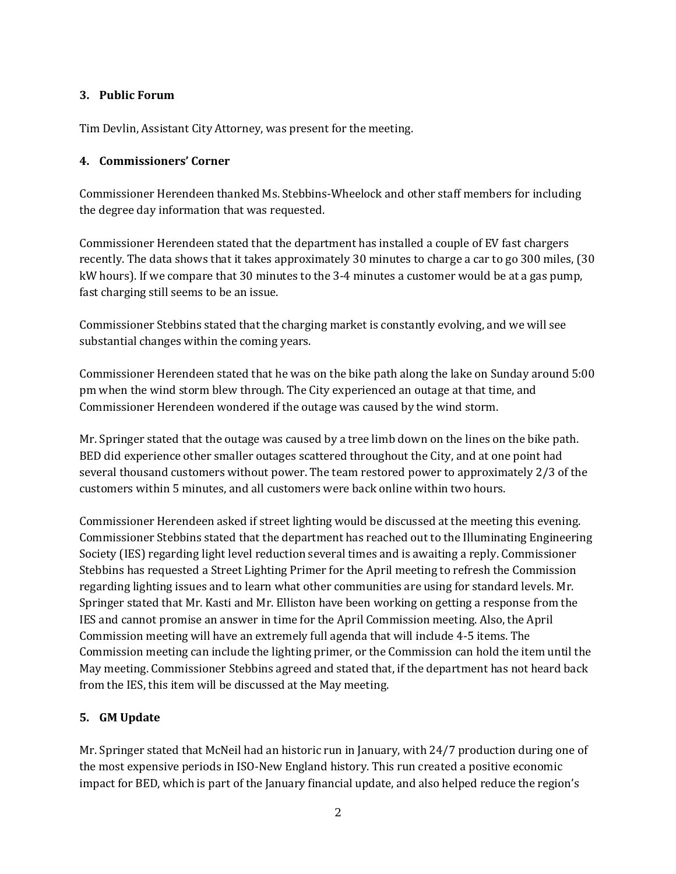#### **3. Public Forum**

Tim Devlin, Assistant City Attorney, was present for the meeting.

## **4. Commissioners' Corner**

Commissioner Herendeen thanked Ms. Stebbins-Wheelock and other staff members for including the degree day information that was requested.

Commissioner Herendeen stated that the department has installed a couple of EV fast chargers recently. The data shows that it takes approximately 30 minutes to charge a car to go 300 miles, (30 kW hours). If we compare that 30 minutes to the 3-4 minutes a customer would be at a gas pump, fast charging still seems to be an issue.

Commissioner Stebbins stated that the charging market is constantly evolving, and we will see substantial changes within the coming years.

Commissioner Herendeen stated that he was on the bike path along the lake on Sunday around 5:00 pm when the wind storm blew through. The City experienced an outage at that time, and Commissioner Herendeen wondered if the outage was caused by the wind storm.

Mr. Springer stated that the outage was caused by a tree limb down on the lines on the bike path. BED did experience other smaller outages scattered throughout the City, and at one point had several thousand customers without power. The team restored power to approximately 2/3 of the customers within 5 minutes, and all customers were back online within two hours.

Commissioner Herendeen asked if street lighting would be discussed at the meeting this evening. Commissioner Stebbins stated that the department has reached out to the Illuminating Engineering Society (IES) regarding light level reduction several times and is awaiting a reply. Commissioner Stebbins has requested a Street Lighting Primer for the April meeting to refresh the Commission regarding lighting issues and to learn what other communities are using for standard levels. Mr. Springer stated that Mr. Kasti and Mr. Elliston have been working on getting a response from the IES and cannot promise an answer in time for the April Commission meeting. Also, the April Commission meeting will have an extremely full agenda that will include 4-5 items. The Commission meeting can include the lighting primer, or the Commission can hold the item until the May meeting. Commissioner Stebbins agreed and stated that, if the department has not heard back from the IES, this item will be discussed at the May meeting.

# **5. GM Update**

Mr. Springer stated that McNeil had an historic run in January, with 24/7 production during one of the most expensive periods in ISO-New England history. This run created a positive economic impact for BED, which is part of the January financial update, and also helped reduce the region's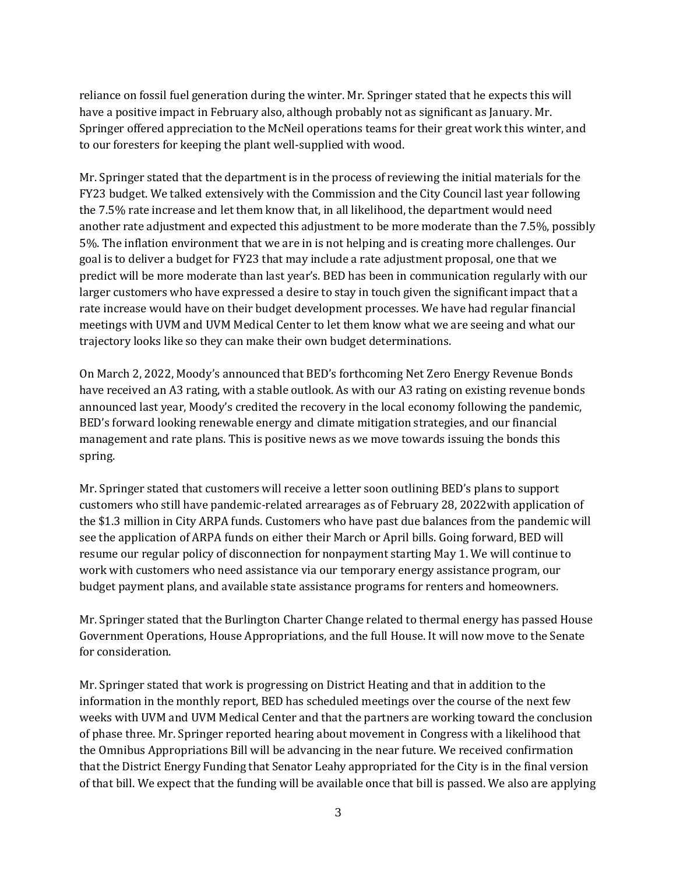reliance on fossil fuel generation during the winter. Mr. Springer stated that he expects this will have a positive impact in February also, although probably not as significant as January. Mr. Springer offered appreciation to the McNeil operations teams for their great work this winter, and to our foresters for keeping the plant well-supplied with wood.

Mr. Springer stated that the department is in the process of reviewing the initial materials for the FY23 budget. We talked extensively with the Commission and the City Council last year following the 7.5% rate increase and let them know that, in all likelihood, the department would need another rate adjustment and expected this adjustment to be more moderate than the 7.5%, possibly 5%. The inflation environment that we are in is not helping and is creating more challenges. Our goal is to deliver a budget for FY23 that may include a rate adjustment proposal, one that we predict will be more moderate than last year's. BED has been in communication regularly with our larger customers who have expressed a desire to stay in touch given the significant impact that a rate increase would have on their budget development processes. We have had regular financial meetings with UVM and UVM Medical Center to let them know what we are seeing and what our trajectory looks like so they can make their own budget determinations.

On March 2, 2022, Moody's announced that BED's forthcoming Net Zero Energy Revenue Bonds have received an A3 rating, with a stable outlook. As with our A3 rating on existing revenue bonds announced last year, Moody's credited the recovery in the local economy following the pandemic, BED's forward looking renewable energy and climate mitigation strategies, and our financial management and rate plans. This is positive news as we move towards issuing the bonds this spring.

Mr. Springer stated that customers will receive a letter soon outlining BED's plans to support customers who still have pandemic-related arrearages as of February 28, 2022with application of the \$1.3 million in City ARPA funds. Customers who have past due balances from the pandemic will see the application of ARPA funds on either their March or April bills. Going forward, BED will resume our regular policy of disconnection for nonpayment starting May 1. We will continue to work with customers who need assistance via our temporary energy assistance program, our budget payment plans, and available state assistance programs for renters and homeowners.

Mr. Springer stated that the Burlington Charter Change related to thermal energy has passed House Government Operations, House Appropriations, and the full House. It will now move to the Senate for consideration.

Mr. Springer stated that work is progressing on District Heating and that in addition to the information in the monthly report, BED has scheduled meetings over the course of the next few weeks with UVM and UVM Medical Center and that the partners are working toward the conclusion of phase three. Mr. Springer reported hearing about movement in Congress with a likelihood that the Omnibus Appropriations Bill will be advancing in the near future. We received confirmation that the District Energy Funding that Senator Leahy appropriated for the City is in the final version of that bill. We expect that the funding will be available once that bill is passed. We also are applying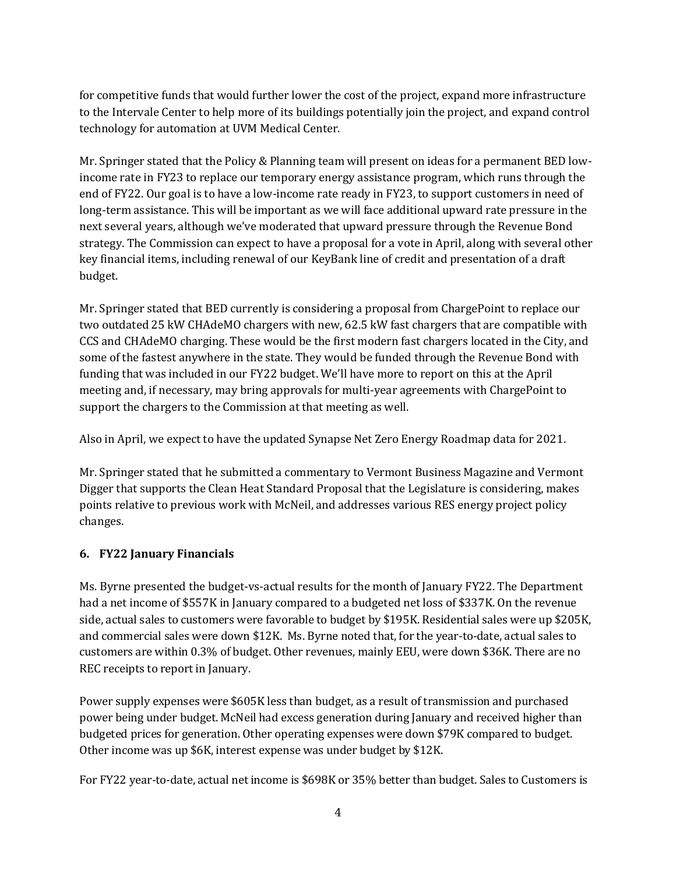for competitive funds that would further lower the cost of the project, expand more infrastructure to the Intervale Center to help more of its buildings potentially join the project, and expand control technology for automation at UVM Medical Center.

Mr. Springer stated that the Policy & Planning team will present on ideas for a permanent BED lowincome rate in FY23 to replace our temporary energy assistance program, which runs through the end of FY22. Our goal is to have a low-income rate ready in FY23, to support customers in need of long-term assistance. This will be important as we will face additional upward rate pressure in the next several years, although we've moderated that upward pressure through the Revenue Bond strategy. The Commission can expect to have a proposal for a vote in April, along with several other key financial items, including renewal of our KeyBank line of credit and presentation of a draft budget.

Mr. Springer stated that BED currently is considering a proposal from ChargePoint to replace our two outdated 25 kW CHAdeMO chargers with new, 62.5 kW fast chargers that are compatible with CCS and CHAdeMO charging. These would be the first modern fast chargers located in the City, and some of the fastest anywhere in the state. They would be funded through the Revenue Bond with funding that was included in our FY22 budget. We'll have more to report on this at the April meeting and, if necessary, may bring approvals for multi-year agreements with ChargePoint to support the chargers to the Commission at that meeting as well.

Also in April, we expect to have the updated Synapse Net Zero Energy Roadmap data for 2021.

Mr. Springer stated that he submitted a commentary to Vermont Business Magazine and Vermont Digger that supports the Clean Heat Standard Proposal that the Legislature is considering, makes points relative to previous work with McNeil, and addresses various RES energy project policy changes.

# **6. FY22 January Financials**

Ms. Byrne presented the budget-vs-actual results for the month of January FY22. The Department had a net income of \$557K in January compared to a budgeted net loss of \$337K. On the revenue side, actual sales to customers were favorable to budget by \$195K. Residential sales were up \$205K, and commercial sales were down \$12K. Ms. Byrne noted that, for the year-to-date, actual sales to customers are within 0.3% of budget. Other revenues, mainly EEU, were down \$36K. There are no REC receipts to report in January.

Power supply expenses were \$605K less than budget, as a result of transmission and purchased power being under budget. McNeil had excess generation during January and received higher than budgeted prices for generation. Other operating expenses were down \$79K compared to budget. Other income was up \$6K, interest expense was under budget by \$12K.

For FY22 year-to-date, actual net income is \$698K or 35% better than budget. Sales to Customers is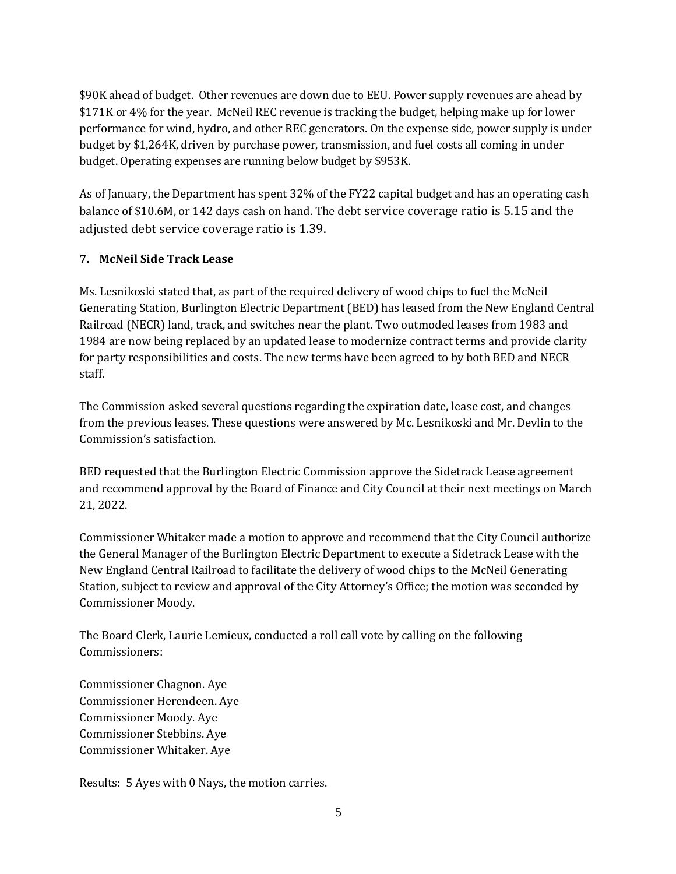\$90K ahead of budget. Other revenues are down due to EEU. Power supply revenues are ahead by \$171K or 4% for the year. McNeil REC revenue is tracking the budget, helping make up for lower performance for wind, hydro, and other REC generators. On the expense side, power supply is under budget by \$1,264K, driven by purchase power, transmission, and fuel costs all coming in under budget. Operating expenses are running below budget by \$953K.

As of January, the Department has spent 32% of the FY22 capital budget and has an operating cash balance of \$10.6M, or 142 days cash on hand. The debt service coverage ratio is 5.15 and the adjusted debt service coverage ratio is 1.39.

#### **7. McNeil Side Track Lease**

Ms. Lesnikoski stated that, as part of the required delivery of wood chips to fuel the McNeil Generating Station, Burlington Electric Department (BED) has leased from the New England Central Railroad (NECR) land, track, and switches near the plant. Two outmoded leases from 1983 and 1984 are now being replaced by an updated lease to modernize contract terms and provide clarity for party responsibilities and costs. The new terms have been agreed to by both BED and NECR staff.

The Commission asked several questions regarding the expiration date, lease cost, and changes from the previous leases. These questions were answered by Mc. Lesnikoski and Mr. Devlin to the Commission's satisfaction.

BED requested that the Burlington Electric Commission approve the Sidetrack Lease agreement and recommend approval by the Board of Finance and City Council at their next meetings on March 21, 2022.

Commissioner Whitaker made a motion to approve and recommend that the City Council authorize the General Manager of the Burlington Electric Department to execute a Sidetrack Lease with the New England Central Railroad to facilitate the delivery of wood chips to the McNeil Generating Station, subject to review and approval of the City Attorney's Office; the motion was seconded by Commissioner Moody.

The Board Clerk, Laurie Lemieux, conducted a roll call vote by calling on the following Commissioners:

Commissioner Chagnon. Aye Commissioner Herendeen. Aye Commissioner Moody. Aye Commissioner Stebbins. Aye Commissioner Whitaker. Aye

Results: 5 Ayes with 0 Nays, the motion carries.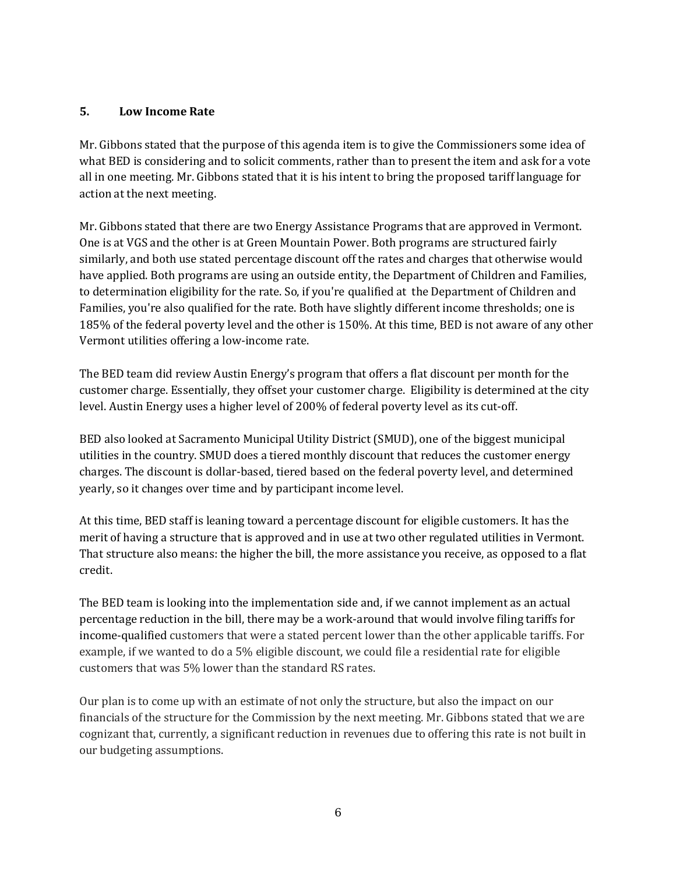#### **5. Low Income Rate**

Mr. Gibbons stated that the purpose of this agenda item is to give the Commissioners some idea of what BED is considering and to solicit comments, rather than to present the item and ask for a vote all in one meeting. Mr. Gibbons stated that it is his intent to bring the proposed tariff language for action at the next meeting.

Mr. Gibbons stated that there are two Energy Assistance Programs that are approved in Vermont. One is at VGS and the other is at Green Mountain Power. Both programs are structured fairly similarly, and both use stated percentage discount off the rates and charges that otherwise would have applied. Both programs are using an outside entity, the Department of Children and Families, to determination eligibility for the rate. So, if you're qualified at the Department of Children and Families, you're also qualified for the rate. Both have slightly different income thresholds; one is 185% of the federal poverty level and the other is 150%. At this time, BED is not aware of any other Vermont utilities offering a low-income rate.

The BED team did review Austin Energy's program that offers a flat discount per month for the customer charge. Essentially, they offset your customer charge. Eligibility is determined at the city level. Austin Energy uses a higher level of 200% of federal poverty level as its cut-off.

BED also looked at Sacramento Municipal Utility District (SMUD), one of the biggest municipal utilities in the country. SMUD does a tiered monthly discount that reduces the customer energy charges. The discount is dollar-based, tiered based on the federal poverty level, and determined yearly, so it changes over time and by participant income level.

At this time, BED staff is leaning toward a percentage discount for eligible customers. It has the merit of having a structure that is approved and in use at two other regulated utilities in Vermont. That structure also means: the higher the bill, the more assistance you receive, as opposed to a flat credit.

The BED team is looking into the implementation side and, if we cannot implement as an actual percentage reduction in the bill, there may be a work-around that would involve filing tariffs for income-qualified customers that were a stated percent lower than the other applicable tariffs. For example, if we wanted to do a 5% eligible discount, we could file a residential rate for eligible customers that was 5% lower than the standard RS rates.

Our plan is to come up with an estimate of not only the structure, but also the impact on our financials of the structure for the Commission by the next meeting. Mr. Gibbons stated that we are cognizant that, currently, a significant reduction in revenues due to offering this rate is not built in our budgeting assumptions.